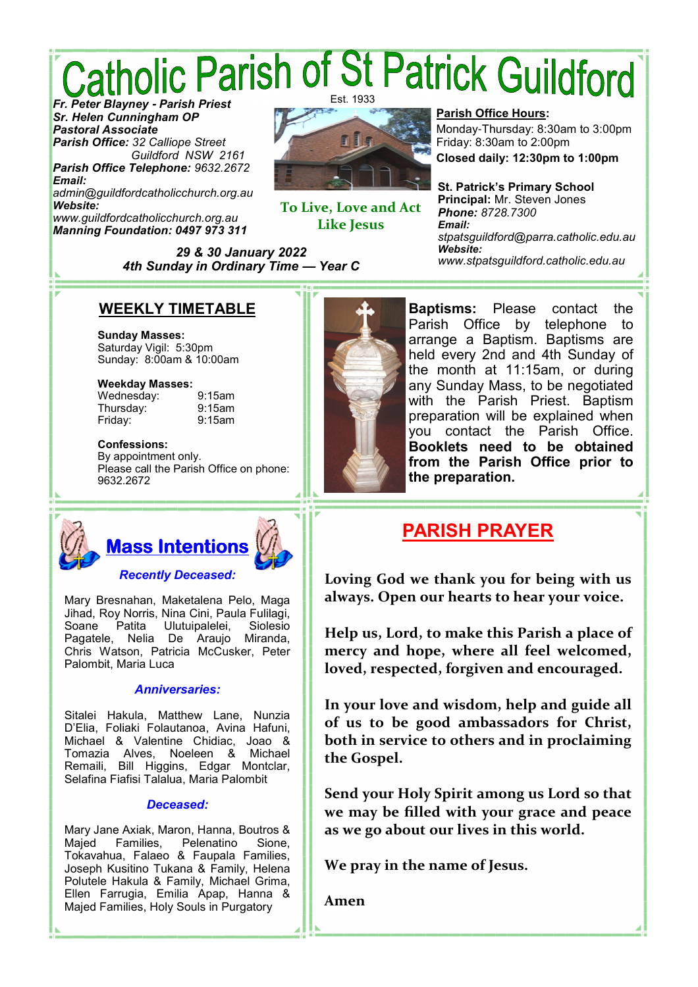# *Catholic Parish of St Patrick Guildford* Est. 1933

*Sr. Helen Cunningham OP Pastoral Associate Parish Office: 32 Calliope Street Guildford NSW 2161*

*Parish Office Telephone: 9632.2672 Email: admin@guildfordcatholicchurch.org.au Website:*

*www.guildfordcatholicchurch.org.au Manning Foundation: 0497 973 311*



**To Live, Love and Act Like Jesus** 

*29 & 30 January 2022 4th Sunday in Ordinary Time* **—** *Year C*

#### **Parish Office Hours:**

Monday-Thursday: 8:30am to 3:00pm Friday: 8:30am to 2:00pm

**Closed daily: 12:30pm to 1:00pm**

**St. Patrick's Primary School Principal:** Mr. Steven Jones *Phone: 8728.7300 Email: stpatsguildford@parra.catholic.edu.au Website: www.stpatsguildford.catholic.edu.au*

### **WEEKLY TIMETABLE**

**Sunday Masses:** Saturday Vigil: 5:30pm Sunday: 8:00am & 10:00am

#### **Weekday Masses:**

Wednesday: 9:15am Thursday: 9:15am Friday: 9:15am

#### **Confessions:**

By appointment only. Please call the Parish Office on phone: 9632.2672



Mary Bresnahan, Maketalena Pelo, Maga Jihad, Roy Norris, Nina Cini, Paula Fulilagi, Soane Patita Ulutuipalelei, Pagatele, Nelia De Araujo Miranda, Chris Watson, Patricia McCusker, Peter Palombit, Maria Luca

#### *Anniversaries:*

Sitalei Hakula, Matthew Lane, Nunzia D'Elia, Foliaki Folautanoa, Avina Hafuni, Michael & Valentine Chidiac, Joao & Tomazia Alves, Noeleen & Michael Remaili, Bill Higgins, Edgar Montclar, Selafina Fiafisi Talalua, Maria Palombit

#### *Deceased:*

Mary Jane Axiak, Maron, Hanna, Boutros & Pelenatino Tokavahua, Falaeo & Faupala Families, Joseph Kusitino Tukana & Family, Helena Polutele Hakula & Family, Michael Grima, Ellen Farrugia, Emilia Apap, Hanna & Majed Families, Holy Souls in Purgatory



**Baptisms:** Please contact the Parish Office by telephone to arrange a Baptism. Baptisms are held every 2nd and 4th Sunday of the month at 11:15am, or during any Sunday Mass, to be negotiated with the Parish Priest. Baptism preparation will be explained when you contact the Parish Office. **Booklets need to be obtained from the Parish Office prior to the preparation.**

### **PARISH PRAYER**

**Loving God we thank you for being with us always. Open our hearts to hear your voice.** 

**Help us, Lord, to make this Parish a place of mercy and hope, where all feel welcomed, loved, respected, forgiven and encouraged.** 

**In your love and wisdom, help and guide all of us to be good ambassadors for Christ, both in service to others and in proclaiming the Gospel.** 

**Send your Holy Spirit among us Lord so that we may be filled with your grace and peace as we go about our lives in this world.** 

**We pray in the name of Jesus.** 

**Amen**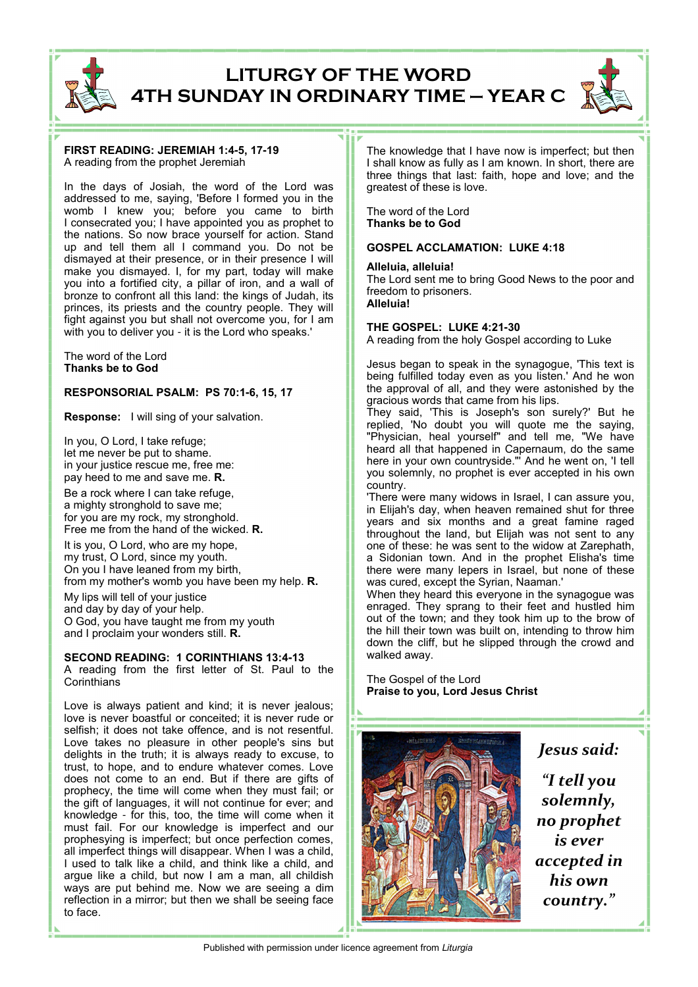

### **LITURGY OF THE WORD 4TH SUNDAY IN ORDINARY TIME — YEAR C**

#### **FIRST READING: JEREMIAH 1:4-5, 17-19** A reading from the prophet Jeremiah

In the days of Josiah, the word of the Lord was addressed to me, saying, 'Before I formed you in the womb I knew you; before you came to birth I consecrated you; I have appointed you as prophet to the nations. So now brace yourself for action. Stand up and tell them all I command you. Do not be dismayed at their presence, or in their presence I will make you dismayed. I, for my part, today will make you into a fortified city, a pillar of iron, and a wall of bronze to confront all this land: the kings of Judah, its princes, its priests and the country people. They will fight against you but shall not overcome you, for I am with you to deliver you - it is the Lord who speaks.'

The word of the Lord **Thanks be to God**

#### **RESPONSORIAL PSALM: PS 70:1-6, 15, 17**

**Response:** I will sing of your salvation.

In you, O Lord, I take refuge; let me never be put to shame. in your justice rescue me, free me: pay heed to me and save me. **R.** Be a rock where I can take refuge, a mighty stronghold to save me; for you are my rock, my stronghold. Free me from the hand of the wicked. **R.**

It is you, O Lord, who are my hope, my trust, O Lord, since my youth. On you I have leaned from my birth, from my mother's womb you have been my help. **R.**

My lips will tell of your justice and day by day of your help. O God, you have taught me from my youth and I proclaim your wonders still. **R.**

#### **SECOND READING: 1 CORINTHIANS 13:4-13**

A reading from the first letter of St. Paul to the **Corinthians** 

Love is always patient and kind; it is never jealous; love is never boastful or conceited; it is never rude or selfish; it does not take offence, and is not resentful. Love takes no pleasure in other people's sins but delights in the truth; it is always ready to excuse, to trust, to hope, and to endure whatever comes. Love does not come to an end. But if there are gifts of prophecy, the time will come when they must fail; or the gift of languages, it will not continue for ever; and knowledge - for this, too, the time will come when it must fail. For our knowledge is imperfect and our prophesying is imperfect; but once perfection comes, all imperfect things will disappear. When I was a child, I used to talk like a child, and think like a child, and argue like a child, but now I am a man, all childish ways are put behind me. Now we are seeing a dim reflection in a mirror; but then we shall be seeing face to face.

The knowledge that I have now is imperfect; but then I shall know as fully as I am known. In short, there are three things that last: faith, hope and love; and the greatest of these is love.

The word of the Lord **Thanks be to God**

#### **GOSPEL ACCLAMATION: LUKE 4:18**

#### **Alleluia, alleluia!**

The Lord sent me to bring Good News to the poor and freedom to prisoners. **Alleluia!**

#### **THE GOSPEL: LUKE 4:21-30**

A reading from the holy Gospel according to Luke

Jesus began to speak in the synagogue, 'This text is being fulfilled today even as you listen.' And he won the approval of all, and they were astonished by the gracious words that came from his lips.

They said, 'This is Joseph's son surely?' But he replied, 'No doubt you will quote me the saying, "Physician, heal yourself" and tell me, "We have heard all that happened in Capernaum, do the same here in your own countryside."' And he went on, 'I tell you solemnly, no prophet is ever accepted in his own country.

'There were many widows in Israel, I can assure you, in Elijah's day, when heaven remained shut for three years and six months and a great famine raged throughout the land, but Elijah was not sent to any one of these: he was sent to the widow at Zarephath, a Sidonian town. And in the prophet Elisha's time there were many lepers in Israel, but none of these was cured, except the Syrian, Naaman.'

When they heard this everyone in the synagogue was enraged. They sprang to their feet and hustled him out of the town; and they took him up to the brow of the hill their town was built on, intending to throw him down the cliff, but he slipped through the crowd and walked away.

The Gospel of the Lord **Praise to you, Lord Jesus Christ**



*Jesus said:* 

*"I tell you solemnly, no prophet is ever accepted in his own country."* 

Published with permission under licence agreement from *Liturgia*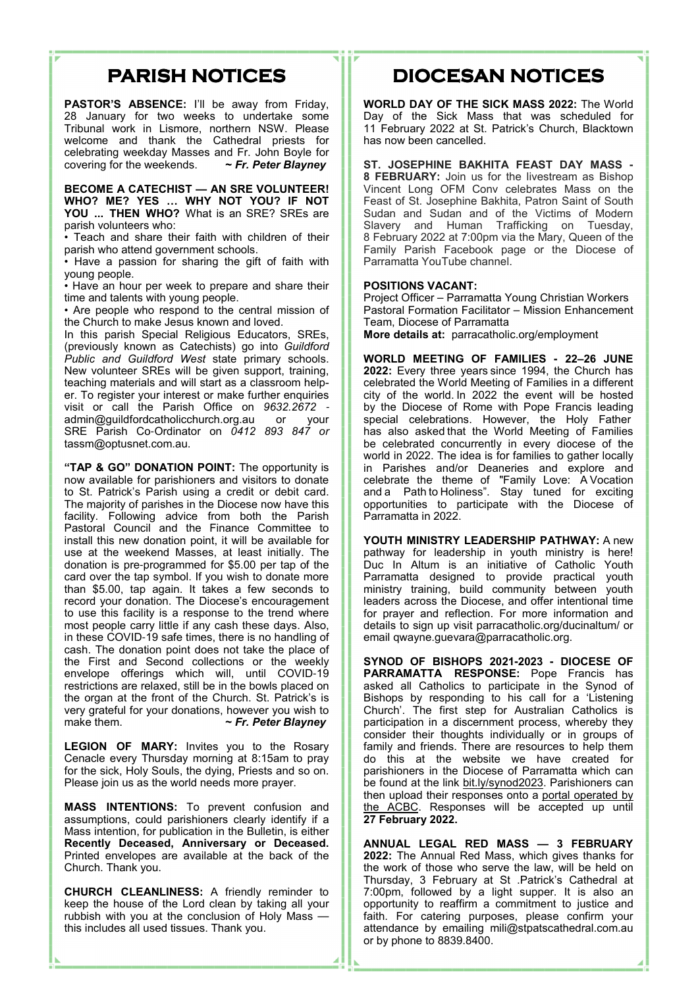### **PARISH NOTICES**

PASTOR'S ABSENCE: I'll be away from Friday, 28 January for two weeks to undertake some Tribunal work in Lismore, northern NSW. Please welcome and thank the Cathedral priests for celebrating weekday Masses and Fr. John Boyle for covering for the weekends. **~** *Fr. Peter Blayney*

**BECOME A CATECHIST — AN SRE VOLUNTEER! WHO? ME? YES … WHY NOT YOU? IF NOT YOU ... THEN WHO?** What is an SRE? SREs are parish volunteers who:

• Teach and share their faith with children of their parish who attend government schools.

• Have a passion for sharing the gift of faith with young people.

• Have an hour per week to prepare and share their time and talents with young people.

• Are people who respond to the central mission of the Church to make Jesus known and loved.

In this parish Special Religious Educators, SREs, (previously known as Catechists) go into *Guildford*  Public and Guildford West state primary schools. New volunteer SREs will be given support, training, teaching materials and will start as a classroom helper. To register your interest or make further enquiries visit or call the Parish Office on *9632.2672*  admin@guildfordcatholicchurch.org.au or your SRE Parish Co-Ordinator on *0412 893 847 or*  tassm@optusnet.com.au.

**"TAP & GO" DONATION POINT:** The opportunity is now available for parishioners and visitors to donate to St. Patrick's Parish using a credit or debit card. The majority of parishes in the Diocese now have this facility. Following advice from both the Parish Pastoral Council and the Finance Committee to install this new donation point, it will be available for use at the weekend Masses, at least initially. The donation is pre-programmed for \$5.00 per tap of the card over the tap symbol. If you wish to donate more than \$5.00, tap again. It takes a few seconds to record your donation. The Diocese's encouragement to use this facility is a response to the trend where most people carry little if any cash these days. Also, in these COVID-19 safe times, there is no handling of cash. The donation point does not take the place of the First and Second collections or the weekly envelope offerings which will, until COVID-19 restrictions are relaxed, still be in the bowls placed on the organ at the front of the Church. St. Patrick's is very grateful for your donations, however you wish to make them.<br> $\sim$  Fr. Peter Blavnev make them. **~** *Fr. Peter Blayney*

**LEGION OF MARY:** Invites you to the Rosary Cenacle every Thursday morning at 8:15am to pray for the sick, Holy Souls, the dying, Priests and so on. Please join us as the world needs more prayer.

**MASS INTENTIONS:** To prevent confusion and assumptions, could parishioners clearly identify if a Mass intention, for publication in the Bulletin, is either **Recently Deceased, Anniversary or Deceased.** Printed envelopes are available at the back of the Church. Thank you.

**CHURCH CLEANLINESS:** A friendly reminder to keep the house of the Lord clean by taking all your rubbish with you at the conclusion of Holy Mass this includes all used tissues. Thank you.

## **DIOCESAN NOTICES**

**WORLD DAY OF THE SICK MASS 2022:** The World Day of the Sick Mass that was scheduled for 11 February 2022 at St. Patrick's Church, Blacktown has now been cancelled.

**ST. JOSEPHINE BAKHITA FEAST DAY MASS - 8 FEBRUARY:** Join us for the livestream as Bishop Vincent Long OFM Conv celebrates Mass on the Feast of St. Josephine Bakhita, Patron Saint of South Sudan and Sudan and of the Victims of Modern Slavery and Human Trafficking on Tuesday, 8 February 2022 at 7:00pm via the Mary, Queen of the Family Parish Facebook page or the Diocese of Parramatta YouTube channel.

#### **POSITIONS VACANT:**

Project Officer – Parramatta Young Christian Workers Pastoral Formation Facilitator – Mission Enhancement Team, Diocese of Parramatta

**More details at:** parracatholic.org/employment

**WORLD MEETING OF FAMILIES - 22–26 JUNE 2022:** Every three years since 1994, the Church has celebrated the World Meeting of Families in a different city of the world. In 2022 the event will be hosted by the Diocese of Rome with Pope Francis leading special celebrations. However, the Holy Father has also asked that the World Meeting of Families be celebrated concurrently in every diocese of the world in 2022. The idea is for families to gather locally in Parishes and/or Deaneries and explore and celebrate the  theme of  "Family Love:  A Vocation and a  Path to Holiness". Stay tuned for exciting opportunities to participate with the Diocese of Parramatta in 2022.

**YOUTH MINISTRY LEADERSHIP PATHWAY:** A new pathway for leadership in youth ministry is here! Duc In Altum is an initiative of Catholic Youth Parramatta designed to provide practical youth ministry training, build community between youth leaders across the Diocese, and offer intentional time for prayer and reflection. For more information and details to sign up visit parracatholic.org/ducinaltum/ or email qwayne.guevara@parracatholic.org.

**SYNOD OF BISHOPS 2021-2023 - DIOCESE OF PARRAMATTA RESPONSE:** Pope Francis has asked all Catholics to participate in the Synod of Bishops by responding to his call for a 'Listening Church'. The first step for Australian Catholics is participation in a discernment process, whereby they consider their thoughts individually or in groups of family and friends. There are resources to help them do this at the website we have created for parishioners in the Diocese of Parramatta which can be found at the link bit.ly/synod2023. Parishioners can then upload their responses onto a portal operated by the ACBC. Responses will be accepted up until **27 February 2022.**

**ANNUAL LEGAL RED MASS — 3 FEBRUARY 2022:** The Annual Red Mass, which gives thanks for the work of those who serve the law, will be held on Thursday, 3 February at St .Patrick's Cathedral at 7:00pm, followed by a light supper. It is also an opportunity to reaffirm a commitment to justice and faith. For catering purposes, please confirm your attendance by emailing mili@stpatscathedral.com.au or by phone to 8839.8400.